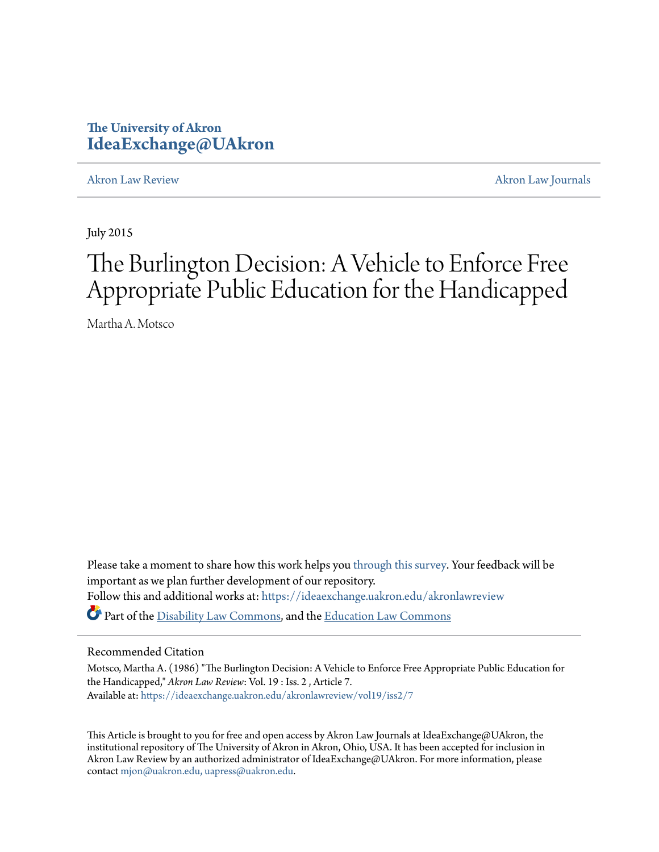# **The University of Akron [IdeaExchange@UAkron](https://ideaexchange.uakron.edu?utm_source=ideaexchange.uakron.edu%2Fakronlawreview%2Fvol19%2Fiss2%2F7&utm_medium=PDF&utm_campaign=PDFCoverPages)**

[Akron Law Review](https://ideaexchange.uakron.edu/akronlawreview?utm_source=ideaexchange.uakron.edu%2Fakronlawreview%2Fvol19%2Fiss2%2F7&utm_medium=PDF&utm_campaign=PDFCoverPages) [Akron Law Journals](https://ideaexchange.uakron.edu/akronlawjournals?utm_source=ideaexchange.uakron.edu%2Fakronlawreview%2Fvol19%2Fiss2%2F7&utm_medium=PDF&utm_campaign=PDFCoverPages)

July 2015

# The Burlington Decision: A Vehicle to Enforce Free Appropriate Public Education for the Handicapped

Martha A. Motsco

Please take a moment to share how this work helps you [through this survey.](http://survey.az1.qualtrics.com/SE/?SID=SV_eEVH54oiCbOw05f&URL=https://ideaexchange.uakron.edu/akronlawreview/vol19/iss2/7) Your feedback will be important as we plan further development of our repository. Follow this and additional works at: [https://ideaexchange.uakron.edu/akronlawreview](https://ideaexchange.uakron.edu/akronlawreview?utm_source=ideaexchange.uakron.edu%2Fakronlawreview%2Fvol19%2Fiss2%2F7&utm_medium=PDF&utm_campaign=PDFCoverPages) Part of the [Disability Law Commons,](http://network.bepress.com/hgg/discipline/1074?utm_source=ideaexchange.uakron.edu%2Fakronlawreview%2Fvol19%2Fiss2%2F7&utm_medium=PDF&utm_campaign=PDFCoverPages) and the [Education Law Commons](http://network.bepress.com/hgg/discipline/596?utm_source=ideaexchange.uakron.edu%2Fakronlawreview%2Fvol19%2Fiss2%2F7&utm_medium=PDF&utm_campaign=PDFCoverPages)

### Recommended Citation

Motsco, Martha A. (1986) "The Burlington Decision: A Vehicle to Enforce Free Appropriate Public Education for the Handicapped," *Akron Law Review*: Vol. 19 : Iss. 2 , Article 7. Available at: [https://ideaexchange.uakron.edu/akronlawreview/vol19/iss2/7](https://ideaexchange.uakron.edu/akronlawreview/vol19/iss2/7?utm_source=ideaexchange.uakron.edu%2Fakronlawreview%2Fvol19%2Fiss2%2F7&utm_medium=PDF&utm_campaign=PDFCoverPages)

This Article is brought to you for free and open access by Akron Law Journals at IdeaExchange@UAkron, the institutional repository of The University of Akron in Akron, Ohio, USA. It has been accepted for inclusion in Akron Law Review by an authorized administrator of IdeaExchange@UAkron. For more information, please contact [mjon@uakron.edu, uapress@uakron.edu.](mailto:mjon@uakron.edu,%20uapress@uakron.edu)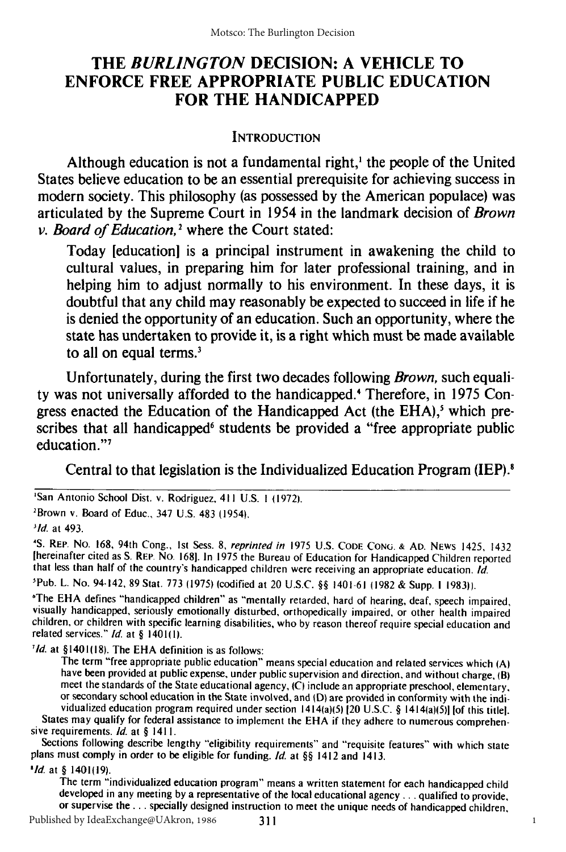# **THE** *BURLINGTON* **DECISION: A VEHICLE TO ENFORCE FREE APPROPRIATE PUBLIC EDUCATION FOR THE HANDICAPPED**

#### **INTRODUCTION**

Although education is not a fundamental right,' the people of the United States believe education to be an essential prerequisite for achieving success in modern society. This philosophy (as possessed **by** the American populace) was articulated **by** the Supreme Court in 1954 in the landmark decision of *Brown v.* Board *of* Education,*2* where the Court stated:

Today [education] is a principal instrument in awakening the child to cultural values, in preparing him for later professional training, and in helping him to adjust normally to his environment. In these days, it is doubtful that any child may reasonably be expected to succeed in life if he is denied the opportunity of an education. Such an opportunity, where the state has undertaken to provide it, is a right which must be made available to all on equal terms.'

Unfortunately, during the first two decades following *Brown,* such equality was not universally afforded to the handicapped.' Therefore, in **1975** Congress enacted the Education of the Handicapped Act (the EHA),<sup>5</sup> which prescribes that all handicapped<sup>6</sup> students be provided a "free appropriate public education.'

Central to that legislation is the Individualized Education Program (IEP).<sup>8</sup>

**4S.** REP. No. 168, 94th Cong., Ist Sess. 8, reprinted in 1975 U.S. CODE **CONG. &** AD. **NEWS** 1425, 1432 [hereinafter cited as S. REP. No. **1681.** In 1975 the Bureau of Education for Handicapped Children reported that less than half of the country's handicapped children were receiving an appropriate education. Id.

'Pub. L. No. 94-142, 89 Stat. 773 (1975) (codified at 20 U.S.C. §§ 1401-61 (1982 & Supp. I **1983)).**

'The EHA defines "handicapped children" as "mentally retarded, hard of hearing, deaf, speech impaired, visually handicapped, seriously emotionally disturbed, orthopedically impaired, or other health impaired children, or children with specific learning disabilities, who by reason thereof require special education and related services." **Id.** at **§** 1401(1).

**'Id.** at §1401(18). The EHA definition is as follows:

**'Id.** at **§** 1401(19).

The term "individualized education program" means a written statement for each handicapped child developed in any meeting **by** a representative of the local educational agency **...** qualified to provide, or supervise the... specially designed instruction to meet the unique needs of handicapped children,

<sup>&#</sup>x27;San Antonio School Dist. v. Rodriguez, 411 U.S. 1 (1972).

<sup>&#</sup>x27;Brown v. Board of Educ., 347 U.S. 483 (1954).

*<sup>11</sup>d.* at 493.

The term "free appropriate public education" means special education and related services which **(A)** have been provided at public expense, under public supervision and direction, and without charge, **(B)** meet the standards of the State educational agency, **(C)** include an appropriate preschool, elementary, or secondary school education in the State involved, and **(D)** are provided in conformity with the individualized education program required under section 1414(a)(5) 120 U.S.C. **§** 1414(a)(5)1 [of this titlel.

States may qualify for federal assistance to implement the EHA if they adhere to numerous comprehensive requirements. **Id.** at **§ 1411.**

Sections following describe lengthy "eligibility requirements" and "requisite features" with which state plans must comply in order to be eligible for funding. **Id.** at **§§** 1412 and 1413.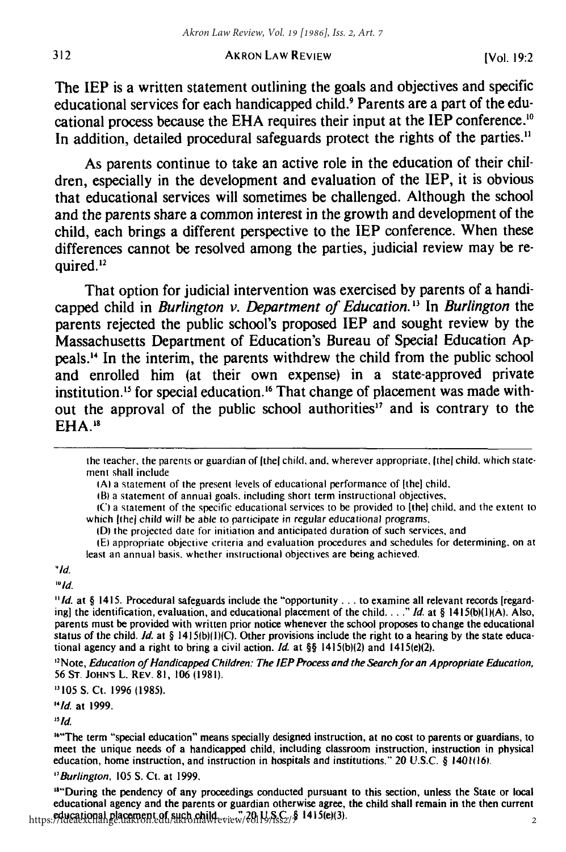The **IEP** is a written statement outlining the goals and objectives and specific educational services for each handicapped child.9 Parents are a part of the educational process because the **EHA** requires their input at the IEP conference."0 In addition, detailed procedural safeguards protect the rights of the parties.<sup>11</sup>

As parents continue to take an active role in the education of their children, especially in the development and evaluation of the IEP, it is obvious that educational services will sometimes be challenged. Although the school and the parents share a common interest in the growth and development of the child, each brings a different perspective to the IEP conference. When these differences cannot be resolved among the parties, judicial review may be required.<sup>12</sup>

That option for judicial intervention was exercised **by** parents of a handicapped child in *Burlington v. Department of Education.3* In *Burlington* the parents rejected the public school's proposed IEP and sought review **by** the Massachusetts Department of Education's Bureau of Special Education **Ap**peals.<sup>14</sup> In the interim, the parents withdrew the child from the public school and enrolled him (at their own expense) in a state-approved private institution.<sup>15</sup> for special education.<sup>16</sup> That change of placement was made without the approval of the public school authorities<sup>17</sup> and is contrary to the **EHA.'8**

**'Id.**

*'old.*

<sup>12</sup>Note, Education of Handicapped Children: The IEP Process and the Search for an Appropriate Education 56 **ST.** JOHNS L. REV. **81, 106 (1981).**

**1105 S.** Ct. **1996 (1985).**

**"Id.** at 1999.

*15* **Id.**

'"The term "special education" means specially designed instruction, at no cost to parents or guardians, to meet the unique needs of a handicapped child, including classroom instruction, instruction in physical education, home instruction, and instruction in hospitals and institutions." 20 U.S.C. § 1401(16.

*"Burlington.* **105 S.** Ct. at 1999.

""During the pendency of any proceedings conducted pursuant to this section, unless the State or local educational agency and the parents or guardian otherwise agree, the child shall remain in the then current educational placement of such child...." 20 **U.S.C.** § 1415(e)(3). https://ideaexchange.uakron.edu/akronlawreview/vol19/iss2/72

the teacher, the parents or guardian of [the] child, and, wherever appropriate, [the] child, which statement shall include

**<sup>(</sup>A)** a statement of the present levels of educational performance of [the] child,

**<sup>1</sup>B)** a statement of annual goals. including short term instructional objectives,

**<sup>(</sup>C)** a statement of the specific educational services to be provided to [thel child, and the extent to which *(the)* child will be able to participate in regular educational programs.

**ID)** the projected date for initiation and anticipated duration of such services, and

**IE)** appropriate objective criteria and evaluation procedures and schedules for determining, on at least an annual basis, whether instructional objectives are being achieved.

**<sup>&</sup>quot;Id.** at § 1415. Procedural safeguards include the "opportunity... to examine all relevant records [regarding] the identification, evaluation, and educational placement of the child. . . . <sup>n</sup> Id. at § 1415(b)(1)(A). Also, parents must be provided with written prior notice whenever the school proposes to change the educational status of the child. **Id.** at § **1415(b)(I)(C).** Other provisions include the right to a hearing by the state educational agency and a right to bring a civil action. **Id.** at §§ 1415(b)(2) and 1415(e)(2).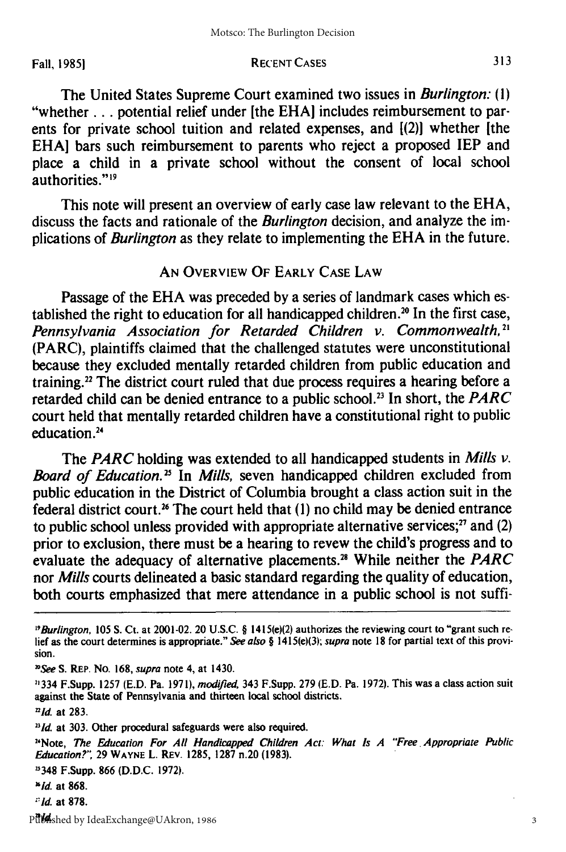Fall, **1 9851**

#### **RECENT CASES**

The United States Supreme Court examined two issues in *Burlington: (1)* "whether **...** potential relief under [the EHA] includes reimbursement to parents for private school tuition and related expenses, and  $(2)$ ] whether [the EHAJ bars such reimbursement to parents who reject a proposed IEP and place a child in a private school without the consent of local school authorities."<sup>19</sup>

This note will present an overview of early case law relevant to the EHA, discuss the facts and rationale of the *Burlington* decision, and analyze the implications of *Burlington* as they relate to implementing the EHA in the future.

# **AN OVERVIEW** OF **EARLY CASE LAW**

Passage of the **EHA** was preceded by a series of landmark cases which established the right to education for all handicapped children.<sup>20</sup> In the first case, Pennsylvania Association for Retarded Children v. Commonwealth,<sup>21</sup> (PARC), plaintiffs claimed that the challenged statutes were unconstitutional because they excluded mentally retarded children from public education and training.<sup>22</sup> The district court ruled that due process requires a hearing before a retarded child can be denied entrance to a public school." In short, the *PARC* court held that mentally retarded children have a constitutional right to public education.<sup>24</sup>

The *PARC* holding was extended to all handicapped students in *Mills v. Board of Education.25* In *Mills,* seven handicapped children excluded from public education in the District of Columbia brought a class action suit in the federal district court.<sup>26</sup> The court held that  $(1)$  no child may be denied entrance to public school unless provided with appropriate alternative services; $^{27}$  and (2) prior to exclusion, there must be a hearing to revew the child's progress and to evaluate the adequacy of alternative placements.<sup>28</sup> While neither the *PARC* nor *Mills* courts delineated a basic standard regarding the quality of education, both courts emphasized that mere attendance in a public school is not suffi-

- **11348** F.Supp. **866** (D.D.C. 1972).
- <sup>\*</sup>Id. at 868.
- **'d.** at **878.**

<sup>&</sup>quot;Burlington, 105 **S.** Ct. at 2001-02. 20 U.S.C. **§** 1415(e)(2) authorizes the reviewing court to "grant such relief as the court determines is appropriate." *See* also § 1415(e)(3); *supra* note **18** for partial text of this provision.

*<sup>&</sup>quot;See* **S.** REP. No. 168, *supra* note 4, at 1430.

<sup>&</sup>quot;1334 F.Supp. 1257 (E.D. Pa. 1971), *modified* 343 F.Supp. 279 (E.D. Pa. 1972). This was a class action suit against the State of Pennsylvania and thirteen local school districts.

*Dld.* at 283.

<sup>&</sup>lt;sup>13</sup>Id. at 303. Other procedural safeguards were also required.

<sup>&</sup>quot;Note, *The Education For All Handicapped Children Act: What Is A "Free. Appropriate Public Education?"* 29 **WAYNE** L. REv. 1285, 1287 n.20 (1983).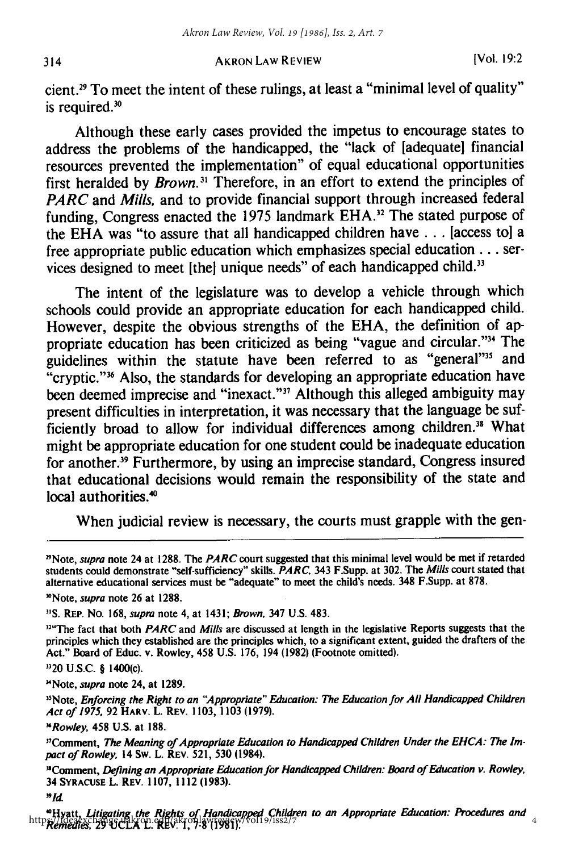314

#### AKRON LAW REVIEW

cient.<sup>29</sup> To meet the intent of these rulings, at least a "minimal level of quality" is required. $30$ 

Although these early cases provided the impetus to encourage states to address the problems of the handicapped, the "lack of [adequate] financial resources prevented the implementation" of equal educational opportunities first heralded by *Brown.31* Therefore, in an effort to extend the principles of *PARC* and *Mills,* and to provide financial support through increased federal funding, Congress enacted the 1975 landmark  $EHA$ .<sup>32</sup> The stated purpose of the EHA was "to assure that all handicapped children have **...** [access to] a free appropriate public education which emphasizes special education **...** services designed to meet [the] unique needs" of each handicapped child."

The intent of the legislature was to develop a vehicle through which schools could provide an appropriate education for each handicapped child. However, despite the obvious strengths of the EHA, the definition of appropriate education has been criticized as being "vague and circular."34 The guidelines within the statute have been referred to as "general"<sup>35</sup> and "cryptic."<sup>36</sup> Also, the standards for developing an appropriate education have been deemed imprecise and "inexact."<sup>37</sup> Although this alleged ambiguity may present difficulties in interpretation, it was necessary that the language be sufficiently broad to allow for individual differences among children.<sup>38</sup> What might be appropriate education for one student could be inadequate education for another.<sup>39</sup> Furthermore, by using an imprecise standard, Congress insured that educational decisions would remain the responsibility of the state and local authorities.<sup>40</sup>

When judicial review is necessary, the courts must grapple with the gen-

<sup>24</sup>The fact that both *PARC* and *Mills* are discussed at length in the legislative Reports suggests that the principles which they established are the principles which, to a significant extent, guided the drafters of the Act." Board of Educ. v. Rowley, 458 U.S. 176, 194 **(1982)** (Footnote omitted).

'20 U.S.C. § 1400(c).

'Note, *supra* note 24, at 1289.

"Note, *Enforcing* the Right to an "Appropriate" Education: The *Education* for All Handicapped Children *Act* of 1975, 92 **HARV.** L. REV. 1103, 1103 (1979).

*'Rowley,* 458 U.S. at **188.**

"Comment, Defining an Appropriate *Education* for Handicapped Children: Board of Education v. Rowley, 34 **SYRACUSE** L. REV. 1107, 1112 **(1983).**

**"Id.**

<sup>&#</sup>x27;Note, *supra* note 24 at **1288.** The *PARC* court suggested that this minimal level would be met if retarded students could demonstrate "self-sufficiency" skills. *PARC,* 343 F.Supp. at 302. The Mills court stated that alternative educational services must be "adequate" to meet the child's needs. 348 F.Supp. at **878.**

<sup>&#</sup>x27;Note, *supra* note 26 at **1288.**

**<sup>&#</sup>x27;IS.** REP. No. 168, *supra* note 4, at 1431; Brown, 347 U.S. 483.

<sup>&</sup>quot;Comment, The Meaning of Appropriate Education to Handicapped Children Under the **EHCA:** *The Im*pact of Rowley, 14 Sw. L. REV. 521, 530 (1984).

Hyatt, Litigating the Rights of Handicapped Children to an Appropriate Education: Procedures and - Tryau, *Litigating the Rights of Handicapped Children to an Appropriate Education. Procedures and*<br>https://ideaex.change.ukron.edu/akronlawreview/vol19/iss2/7<br>Remedies, 29 UCLA L. REV. 1, 7-8 (1981).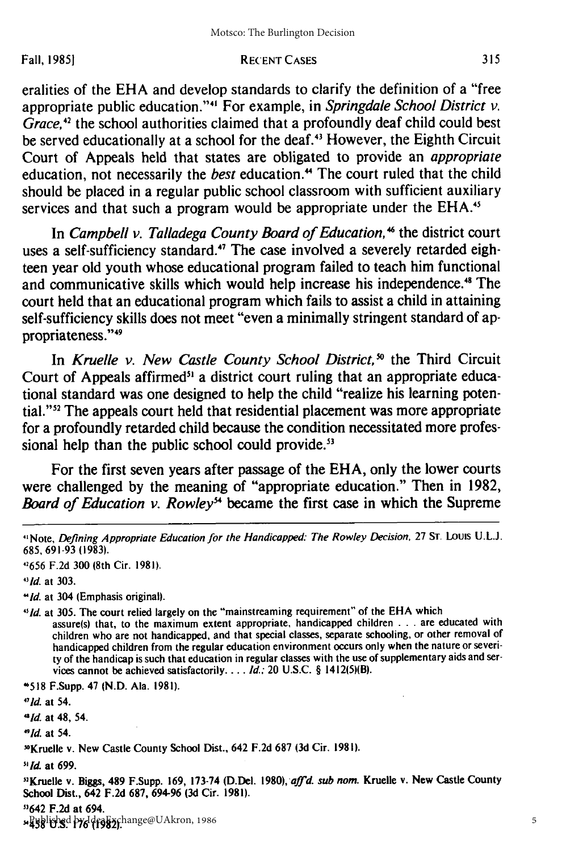#### **Fall, 19851** RECENT CASES

eralities of the EHA and develop standards to clarify the definition of a "free appropriate public education."<sup>41</sup> For example, in Springdale School District v. Grace,<sup>42</sup> the school authorities claimed that a profoundly deaf child could best be served educationally at a school for the deaf.<sup>43</sup> However, the Eighth Circuit Court of Appeals held that states are obligated to provide an *appropriate* education, not necessarily the *best* education." The court ruled that the child should be placed in a regular public school classroom with sufficient auxiliary services and that such a program would be appropriate under the EHA.<sup>45</sup>

In Campbell *v. Talladega County Board of Education*,<sup>46</sup> the district court uses a self-sufficiency standard.<sup>47</sup> The case involved a severely retarded eighteen year old youth whose educational program failed to teach him functional and communicative skills which would help increase his independence.<sup>48</sup> The court held that an educational program which fails to assist a child in attaining self-sufficiency skills does not meet "even a minimally stringent standard of appropriateness."<sup>49</sup>

In Kruelle *v. New Castle County School District, "* the Third Circuit Court of Appeals affirmed<sup>51</sup> a district court ruling that an appropriate educational standard was one designed to help the child "realize his learning potential."52 The appeals court held that residential placement was more appropriate for a profoundly retarded child because the condition necessitated more professional help than the public school could provide.<sup>53</sup>

For the first seven years after passage of the EHA, only the lower courts were challenged by the meaning of "appropriate education." Then in 1982, *Board of Education v. Rowley"'* became the first case in which the Supreme

4518 F.Supp. 47 **(N.D.** Ala. 1981).

*41d.* at 54.

<sup>4</sup> *id.* at 48, 54.

*"1d.* at 54.

*"Id.* at 699.

"Kruelle v. Biggs, 489 F.Supp. 169, 173-74 (D.Del. 1980), affd. sub *noma.* Kruelle v. New Castle County School Dist., 642 F.2d 687, 694-96 **(3d** Cir. 1981).

"1642 F.2d at 694.

-'458 U.S. **176** (1982). Published by IdeaExchange@UAkron, 1986

5

<sup>4</sup>t Note, *Defining Appropriate* Education for the Handicapped: The Rowley Decision, <sup>27</sup>**ST.** Louis U.L.J. 685, 691-93 (1983).

<sup>42656</sup>F.2d 300 (8th Cir. 1981).

*<sup>11</sup>d.* at 303.

*<sup>&</sup>quot;Id.* at 304 (Emphasis original).

*<sup>41</sup>Id.* at 305. The court relied largely on the "mainstreaming requirement" of the EHA which assure(s) that, to the maximum extent appropriate, handicapped children . . . are educated with children who are not handicapped, and that special classes, separate schooling, or other removal of handicapped children from the regular education environment occurs only when the nature or severity of the handicap is such that education in regular classes with the use of supplementary aids and services cannot be achieved satisfactorily.... Id.; 20 U.S.C. § 1412(5)(B).

<sup>&</sup>quot;Kruelle v. New Castle County School Dist., 642 F.2d **687 (3d** Cir. 1981).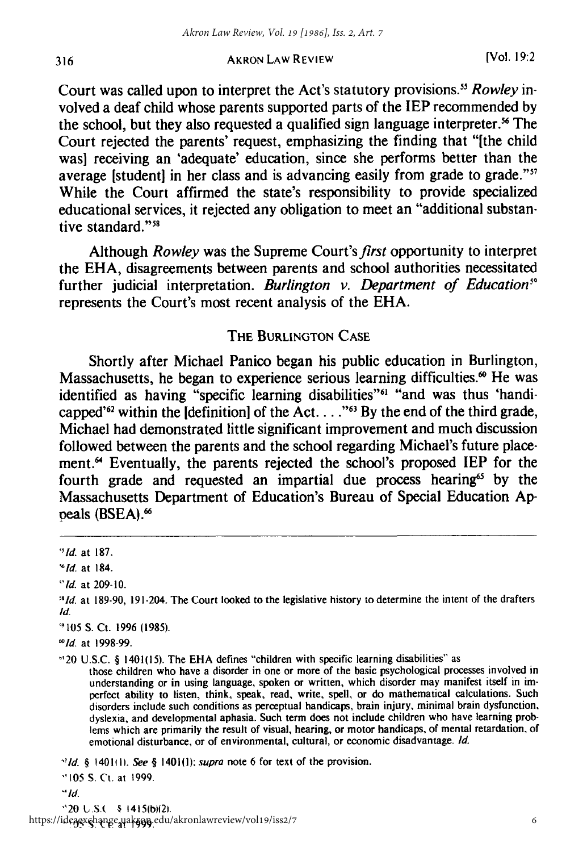Court was called upon to interpret the Act's statutory provisions.<sup>55</sup> Rowley involved a deaf child whose parents supported parts of the IEP recommended by the school, but they also requested a qualified sign language interpreter.<sup>56</sup> The Court rejected the parents' request, emphasizing the finding that "[the child was] receiving an 'adequate' education, since she performs better than the average [student] in her class and is advancing easily from grade to grade."<sup>57</sup> While the Court affirmed the state's responsibility to provide specialized educational services, it rejected any obligation to meet an "additional substantive standard."<sup>58</sup>

Although *Rowley* was the Supreme Court's first opportunity to interpret the EHA, disagreements between parents and school authorities necessitated further judicial interpretation. *Burlington v. Department of Education"'* represents the Court's most recent analysis of the EHA.

# THE BURLINGTON CASE

Shortly after Michael Panico began his public education in Burlington, Massachusetts, he began to experience serious learning difficulties. $\omega$  He was identified as having "specific learning disabilities"<sup>61</sup> "and was thus 'handicapped'62 within the [definition] of the Act .... **"63** By the end of the third grade, Michael had demonstrated little significant improvement and much discussion followed between the parents and the school regarding Michael's future placement.<sup>"</sup> Eventually, the parents rejected the school's proposed IEP for the fourth grade and requested an impartial due process hearing<sup>65</sup> by the Massachusetts Department of Education's Bureau of Special Education Appeals (BSEA).<sup>66</sup>

9105 **S.** Ct. 1996 (1985).

**Old.** at 1998-99.

'20 U.S.C. § 1401(15). The EHA defines "children with specific learning disabilities" as

those children who have a disorder in one or more of the basic psychological processes involved in understanding or in using language, spoken or written, which disorder may manifest itself in imperfect ability to listen, think, speak, read, write, spell, or do mathematical calculations. Such disorders include such conditions as perceptual handicaps, brain injury, minimal brain dysfunction, dyslexia, and developmental aphasia. Such term does not include children who have learning problems which are primarily the result of visual, hearing, or motor handicaps, of mental retardation, of emotional disturbance, or of environmental, cultural, or economic disadvantage. *Id.*

*"2Id.* § **140111).** *See* § 1401(1): **supra** note **6** for text of the provision.

 $\cdot$  *d.* 

20 **U.S.(** a 1415(b)2. **',)5 S.** Ct. at **1999.** https://ideaexchange.uakron.edu/akronlawreview/vol19/iss2/7

**<sup>&</sup>quot;Id.** at **187.**

*<sup>&</sup>quot;6d.* at 184.

*<sup>&</sup>quot;Id.* at 209-10.

*<sup>&</sup>quot;Id.* at 189-90, 191-204. The Court looked to the legislative history to determine the intent of the drafters *Id.*

<sup>105</sup> S. Ct. at 1999.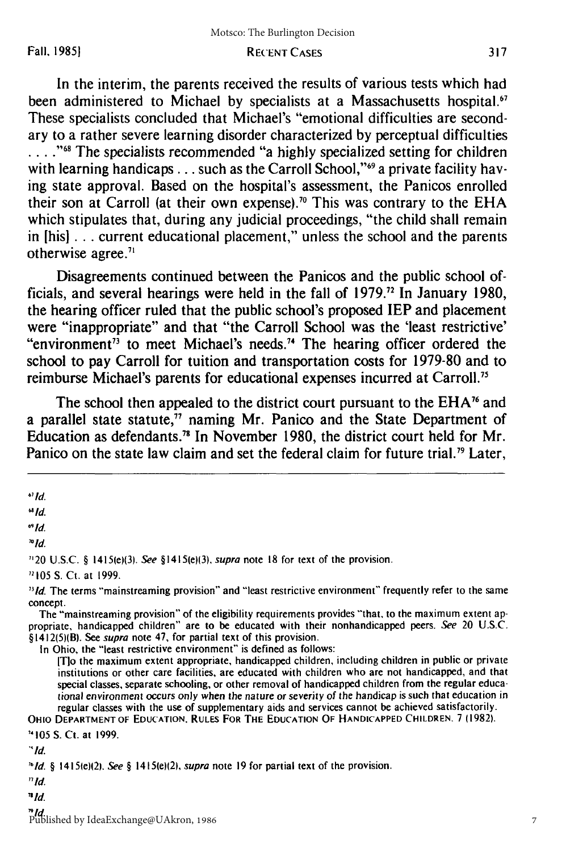**Fall. 1985)**

#### RECENT CASES

In the interim, the parents received the results of various tests which had been administered to Michael by specialists at a Massachusetts hospital.<sup>67</sup> These specialists concluded that Michael's "emotional difficulties are secondary to a rather severe learning disorder characterized by perceptual difficulties .... **"68** The specialists recommended "a highly specialized setting for children with learning handicaps... such as the Carroll School," $69$  a private facility having state approval. Based on the hospital's assessment, the Panicos enrolled their son at Carroll (at their own expense).<sup>70</sup> This was contrary to the EHA which stipulates that, during any judicial proceedings, "the child shall remain in [his] **...** current educational placement," unless the school and the parents otherwise agree.<sup>71</sup>

Disagreements continued between the Panicos and the public school officials, and several hearings were held in the fall of 1979.<sup>72</sup> In January 1980, the hearing officer ruled that the public school's proposed IEP and placement were "inappropriate" and that "the Carroll School was the 'least restrictive' "environment $7<sup>3</sup>$  to meet Michael's needs." The hearing officer ordered the school to pay Carroll for tuition and transportation costs for 1979-80 and to reimburse Michael's parents for educational expenses incurred at Carroll."

The school then appealed to the district court pursuant to the  $EHA<sup>76</sup>$  and a parallel state statute, $\eta$  naming Mr. Panico and the State Department of Education as defendants." In November 1980, the district court held for Mr. Panico on the state law claim and set the federal claim for future trial.<sup>79</sup> Later,

*69Id.*

72105 **S.** Ct. at 1999.

In Ohio, the "least restrictive environment" is defined as follows:

OHIO DEPARTMENT OF **EDUCATION.** RULES FOR THE **EDUCATION** OF **HANDICAPPED CHILDREN.** 7 (1982).

"105 **S.** Ct. at 1999.

*"Id.*

 $n_{\mathcal{I}}$ 

 $n/d$ .

7

*<sup>67</sup>Id.*

 $"Id$ 

*<sup>&</sup>quot;d.*

 $120$  U.S.C. § 1415(e)(3). See §1415(e)(3), supra note 18 for text of the provision.

*<sup>11</sup>ld.* The terms "mainstreaming provision" and "least restrictive environment" frequently refer to the same concept.

The "mainstreaming provision" of the eligibility requirements provides "that, to the maximum extent appropriate, handicapped children" are to be educated with their nonhandicapped peers. See 20 U.S.C. §1412(5)(B). See *supra* note 47, for partial text of this provision.

<sup>[</sup>Tlo the maximum extent appropriate, handicapped children, including children in public or private institutions or other care facilities, are educated with children who are not handicapped, and that special classes, separate schooling, or other removal of handicapped children from the regular educational environment occurs only when the nature or severity of the handicap is such that education in regular classes with the use of supplementary aids and services cannot be achieved satisfactorily.

<sup>&</sup>lt;sup>16</sup>*Id.* § 1415(e)(2). See § 1415(e)(2), supra note 19 for partial text of the provision.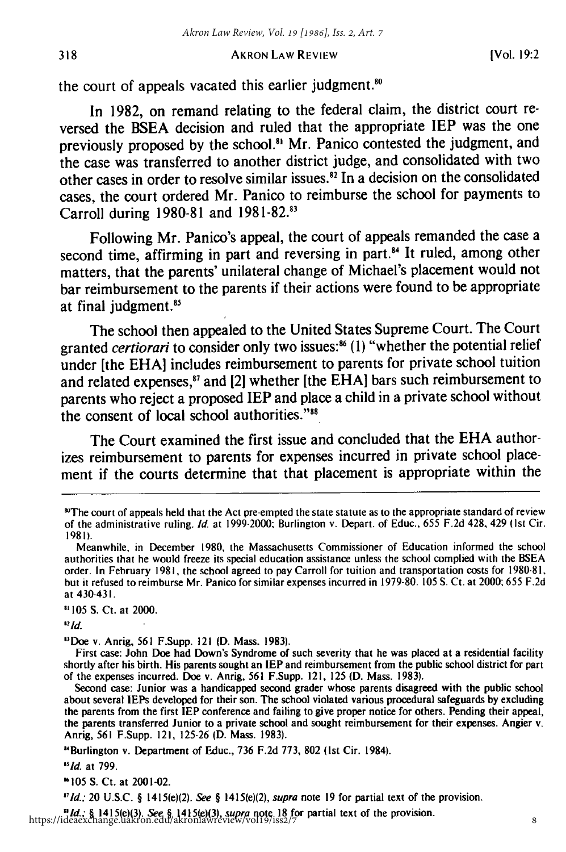the court of appeals vacated this earlier judgment.<sup>80</sup>

In **1982,** on remand relating to the federal claim, the district court reversed the **BSEA** decision and ruled that the appropriate IEP was the one previously proposed **by** the school." Mr. Panico contested the judgment, and the case was transferred to another district judge, and consolidated with two other cases in order to resolve similar issues.<sup>82</sup> In a decision on the consolidated cases, the court ordered Mr. Panico to reimburse the school for payments to Carroll during **1980-81** and **1981-82.11**

Following Mr. Panico's appeal, the court of appeals remanded the case a second time, affirming in part and reversing in part.<sup>84</sup> It ruled, among other matters, that the parents' unilateral change of Michael's placement would not bar reimbursement to the parents if their actions were found to be appropriate at final judgment.<sup>85</sup>

The school then appealed to the United States Supreme Court. The Court granted *certiorari* to consider only two issues:<sup>86</sup> (1) "whether the potential relief under [the **EHA]** includes reimbursement to parents for private school tuition and related expenses," and [21 whether [the **EHA]** bars such reimbursement to parents who reject a proposed IEP and place a child in a private school without the consent of local school authorities." $88$ 

The Court examined the first issue and concluded that the **EHA** authorizes reimbursement to parents for expenses incurred in private school placement if the courts determine that that placement is appropriate within the

105 **S.** Ct. at 2000.

*9 2 Id.*

uDoe v. Anrig, 561 F.Supp. 121 **(D.** Mass. 1983).

First case: John Doe had Down's Syndrome of such severity that he was placed at a residential facility shortly after his birth. His parents sought an IEP and reimbursement from the public school district for part of the expenses incurred. Doe v. Anrig, 561 F.Supp. 121, 125 **(D.** Mass. 1983).

Second case: Junior was a handicapped second grader whose parents disagreed with the public school about several IEPs developed for their son. The school violated various procedural safeguards **by** excluding the parents from the first IEP conference and failing to give proper notice for others. Pending their appeal, the parents transferred Junior to a private school and sought reimbursement for their expenses. Angier v. Anrig, 561 F.Supp. 121, 125-26 **(D.** Mass. 1983).

"Burlington v. Department of Educ., 736 F.2d 773, 802 (Ist Cir. 1984).

**'Id.** at 799.

**1l05 S.** Ct. at 2001-02.

**"Id.;** 20 U.S.C. § 1415(e)(2). See § 1415(e)(2), *supra* note 19 for partial text of the provision.

**"ld.;** § 1415(e)(3). See § 1415(e)(3), **supra** note 18 for partial text of the provision. https://ideaexchange.uakron.edu/akronlawreview/vol19/iss2/7

318

<sup>&</sup>lt;sup>80</sup>The court of appeals held that the Act pre-empted the state statute as to the appropriate standard of review of the administrative ruling. **Id.** at 1999-2000; Burlington v. Depart. of Educ., 655 F.2d 428, 429 (Ist Cir. 1981).

Meanwhile, in December 1980, the Massachusetts Commissioner of Education informed the school authorities that he would freeze its special education assistance unless the school complied with the BSEA order. In February 1981, the school agreed to pay Carroll for tuition and transportation costs for 1980-81, but it refused to reimburse Mr. Panico for similar expenses incurred in 1979-80. 105 **S.** Ct. at 2000: 655 F.2d at 430-431.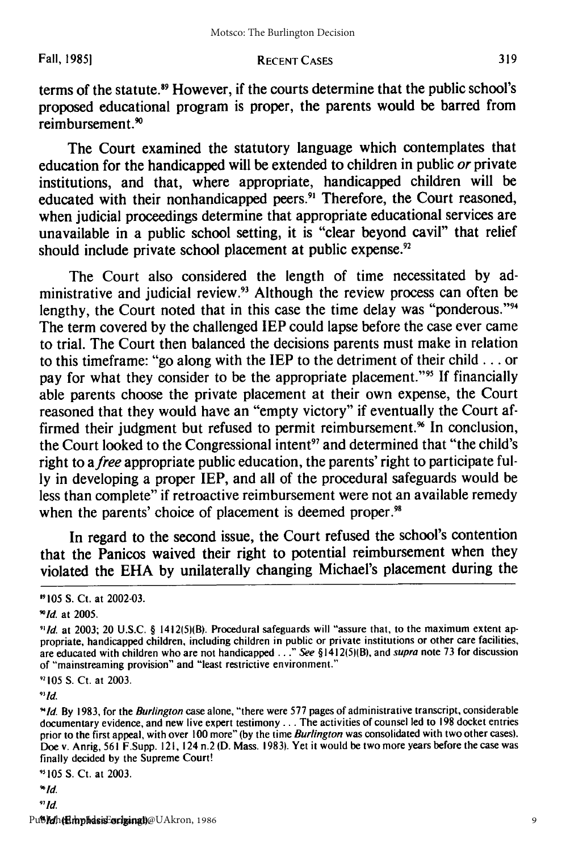#### **RECENT CASES**

terms of the statute.<sup>89</sup> However, if the courts determine that the public school's proposed educational program is proper, the parents would be barred from reimbursement.<sup>90</sup>

The Court examined the statutory language which contemplates that education for the handicapped will be extended to children in public *or* private institutions, and that, where appropriate, handicapped children will be educated with their nonhandicapped peers.<sup>91</sup> Therefore, the Court reasoned, when judicial proceedings determine that appropriate educational services are unavailable in a public school setting, it is "clear beyond cavil" that relief should include private school placement at public expense.<sup>92</sup>

The Court also considered the length of time necessitated by administrative and judicial review.<sup>93</sup> Although the review process can often be lengthy, the Court noted that in this case the time delay was "ponderous."<sup>94</sup> The term covered by the challenged IEP could lapse before the case ever came to trial. The Court then balanced the decisions parents must make in relation to this timeframe: "go along with the IEP to the detriment of their child.., or pay for what they consider to be the appropriate placement."95 If financially able parents choose the private placement at their own expense, the Court reasoned that they would have an "empty victory" if eventually the Court affirmed their judgment but refused to permit reimbursement.<sup>%</sup> In conclusion, the Court looked to the Congressional intent<sup>97</sup> and determined that "the child's right to *a free* appropriate public education, the parents' right to participate fully in developing a proper IEP, and all of the procedural safeguards would be less than complete" if retroactive reimbursement were not an available remedy when the parents' choice of placement is deemed proper.<sup>98</sup>

In regard to the second issue, the Court refused the school's contention that the Panicos waived their right to potential reimbursement when they violated the EHA by unilaterally changing Michael's placement during the

92105 S. Ct. at 2003.

**931d.**

"1105 **S.** Ct. at 2003.

*" Id.*

*971d.*

**<sup>&</sup>quot;9105 S.** Ct. at 2002-03.

*<sup>&</sup>quot;Id.* at 2005.

*<sup>&#</sup>x27;* **Id.** at 2003; 20 U.S.C. § 1412(5)(B). Procedural safeguards will "assure that, to the maximum extent appropriate, handicapped children, including children in public or private institutions or other care facilities, are educated with children who are not handicapped  $\ldots$ " See § 1412(5)(B), and supra note 73 for discussion of "mainstreaming provision" and "least restrictive environment."

*<sup>&</sup>quot;ld.* **By 1983,** for the Burlington case alone, "there were 577 pages of administrative transcript, considerable documentary evidence, and new live expert testimony... The activities of counsel led to 198 docket entries prior to the first appeal, with over 100 more" **(by** the time Burlington was consolidated with two other cases). Doe v. Anrig, 561 F.Supp. 121, 124 n.2 **(D.** Mass. 1983). Yet it would be two more years before the case was finally decided by the Supreme Court!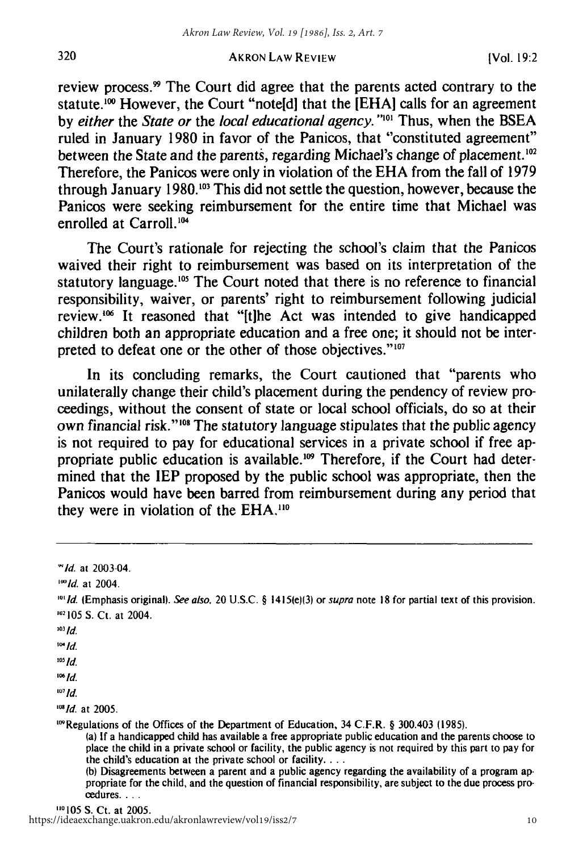review process." The Court did agree that the parents acted contrary to the statute.<sup>100</sup> However, the Court "note<sup>[d]</sup> that the [EHA] calls for an agreement by *either* the *State or* the *local educational agency*. "<sup>101</sup> Thus, when the BSEA ruled in January 1980 in favor of the Panicos, that "constituted agreement" between the State and the parents, regarding Michael's change of placement.<sup>102</sup> Therefore, the Panicos were only in violation of the EHA from the fall of 1979 through January 1980.103 This did not settle the question, however, because the Panicos were seeking reimbursement for the entire time that Michael was enrolled at Carroll.<sup>104</sup>

The Court's rationale for rejecting the school's claim that the Panicos waived their right to reimbursement was based on its interpretation of the statutory language.<sup>105</sup> The Court noted that there is no reference to financial responsibility, waiver, or parents' right to reimbursement following judicial review.<sup>106</sup> It reasoned that "[t]he Act was intended to give handicapped children both an appropriate education and a free one; it should not be interpreted to defeat one or the other of those objectives."107

In its concluding remarks, the Court cautioned that "parents who unilaterally change their child's placement during the pendency of review proceedings, without the consent of state or local school officials, do so at their own financial risk."<sup>108</sup> The statutory language stipulates that the public agency is not required to pay for educational services in a private school if free appropriate public education is available.<sup>109</sup> Therefore, if the Court had determined that the IEP proposed by the public school was appropriate, then the Panicos would have been barred from reimbursement during any period that they were in violation of the **EHA. <sup>10</sup>**

*<sup>103</sup>*Id.

320

 $M$ 

*105Id.*

*16Id.*

**107 Id.**

**"lid.** at 2005.

<sup>109</sup>Regulations of the Offices of the Department of Education, 34 C.F.R. § 300.403 (1985).

(a) If a handicapped child has available a free appropriate public education and the parents choose to place the child in a private school or facility, the public agency is not required by this part to pay for the child's education at the private school or facility....

**(b)** Disagreements between a parent and a public agency regarding the availability of a program appropriate for the child, and the question of financial responsibility, are subject to the due process procedures. **...**

*<sup>1</sup>ld.* at 2003-04.

*<sup>&</sup>quot;'Id.* at 2004.

<sup>&</sup>lt;sup>101</sup> *Id.* (Emphasis original). See also, 20 U.S.C. § 1415(e)(3) or supra note 18 for partial text of this provision. <sup>102</sup> 105 S. Ct. at 2004.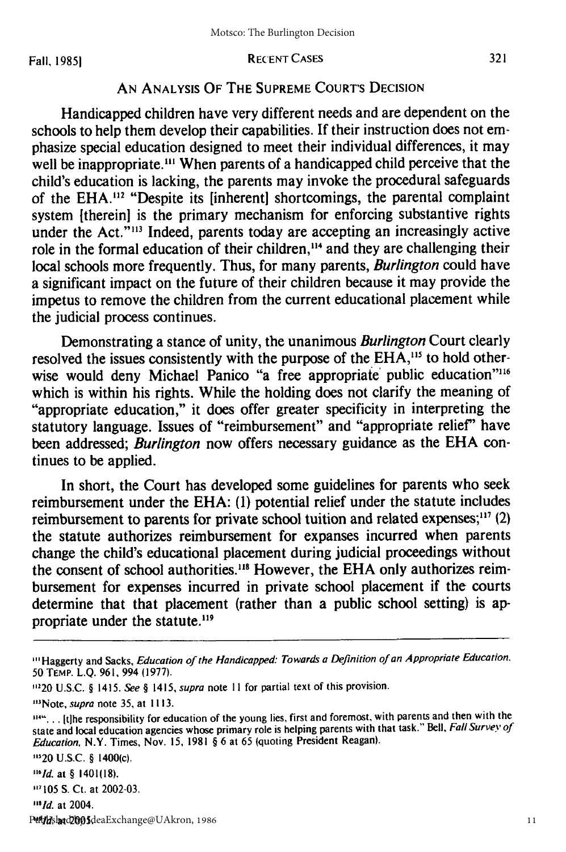#### RECENT **CASES** Fall, **19851**

# AN ANALYSIS OF THE SUPREME COURT'S DECISION

Handicapped children have very different needs and are dependent on the schools to help them develop their capabilities. **If** their instruction does not emphasize special education designed to meet their individual differences, it may well be inappropriate.<sup>111</sup> When parents of a handicapped child perceive that the child's education is lacking, the parents may invoke the procedural safeguards of the EHA."2 "Despite its [inherent] shortcomings, the parental complaint system [therein] is the primary mechanism for enforcing substantive rights under the Act."<sup>113</sup> Indeed, parents today are accepting an increasingly active role in the formal education of their children,<sup>114</sup> and they are challenging their local schools more frequently. Thus, for many parents, *Burlington* could have a significant impact on the future of their children because it may provide the impetus to remove the children from the current educational placement while the judicial process continues.

Demonstrating a stance of unity, the unanimous *Burlington* Court clearly resolved the issues consistently with the purpose of the EHA,<sup>115</sup> to hold otherwise would deny Michael Panico "a free appropriate public education"<sup>116</sup> which is within his rights. While the holding does not clarify the meaning of "appropriate education," it does offer greater specificity in interpreting the statutory language. Issues of "reimbursement" and "appropriate relief' have been addressed; *Burlington* now offers necessary guidance as the EHA continues to be applied.

In short, the Court has developed some guidelines for parents who seek reimbursement under the EHA: (1) potential relief under the statute includes reimbursement to parents for private school tuition and related expenses; $117$  (2) the statute authorizes reimbursement for expanses incurred when parents change the child's educational placement during judicial proceedings without the consent of school authorities.<sup>118</sup> However, the EHA only authorizes reimbursement for expenses incurred in private school placement if the courts determine that that placement (rather than a public school setting) is appropriate under the statute.<sup>119</sup>

"'Note, supra note 35, at **1113.**

"520 U.S.C. § 1400(c).

*"1d.* at § 1401(18).

**, 105 S.** Ct. at 2002-03.

**"lid.** at 2004.

*"'d.* at 2005. Published by IdeaExchange@UAkron, 1986

<sup>&</sup>quot;'Haggerty and Sacks, Education of the Handicapped: Towards a *Definition* of an Appropriate Education. 50 TEMP. **L.Q. 961,** 994 **(1977).**

**<sup>220</sup> U.S.C.** § 1415. See § 1415, supra note I I for partial text of this provision.

<sup>14&</sup>quot;... [t]he responsibility for education of the young lies, first and foremost, with parents and then with the state and local education agencies whose primary role is helping parents with that task." Bell, Fall Survey of Education, N.Y. Times, Nov. 15, 1981 § 6 at 65 (quoting President Reagan).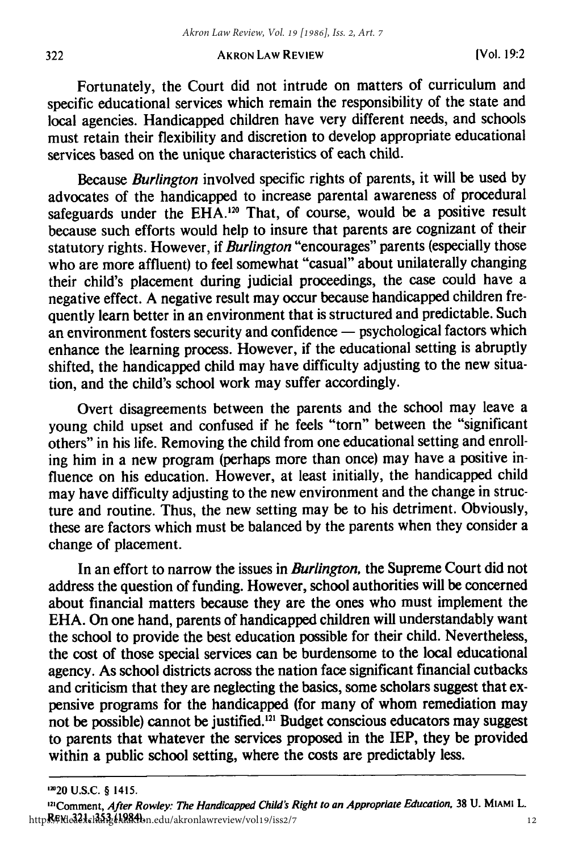Fortunately, the Court did not intrude on matters of curriculum and specific educational services which remain the responsibility of the state and local agencies. Handicapped children have very different needs, and schools must retain their flexibility and discretion to develop appropriate educational services based on the unique characteristics of each child.

Because *Burlington* involved specific rights of parents, it will be used by advocates of the handicapped to increase parental awareness of procedural safeguards under the  $EHA$ .<sup>120</sup> That, of course, would be a positive result because such efforts would help to insure that parents are cognizant of their statutory rights. However, if *Burlington* "encourages" parents (especially those who are more affluent) to feel somewhat "casual" about unilaterally changing their child's placement during judicial proceedings, the case could have a negative effect. A negative result may occur because handicapped children frequently learn better in an environment that is structured and predictable. Such an environment fosters security and confidence  $-$  psychological factors which enhance the learning process. However, if the educational setting is abruptly shifted, the handicapped child may have difficulty adjusting to the new situation, and the child's school work may suffer accordingly.

Overt disagreements between the parents and the school may leave a young child upset and confused if he feels "torn" between the "significant others" in his life. Removing the child from one educational setting and enrolling him in a new program (perhaps more than once) may have a positive influence on his education. However, at least initially, the handicapped child may have difficulty adjusting to the new environment and the change in structure and routine. Thus, the new setting may be to his detriment. Obviously, these are factors which must be balanced by the parents when they consider a change of placement.

In an effort to narrow the issues in *Burlington,* the Supreme Court did not address the question of funding. However, school authorities will be concerned about financial matters because they are the ones who must implement the EHA. On one hand, parents of handicapped children will understandably want the school to provide the best education possible for their child. Nevertheless, the cost of those special services can be burdensome to the local educational agency. As school districts across the nation face significant financial cutbacks and criticism that they are neglecting the basics, some scholars suggest that expensive programs for the handicapped (for many of whom remediation may not be possible) cannot be justified."' Budget conscious educators may suggest to parents that whatever the services proposed in the IEP, they be provided within a public school setting, where the costs are predictably less.

<sup>1-20</sup> **U.S.C. §** 1415.

<sup>&</sup>lt;sup>121</sup> Comment, *After Rowley: The Handicapped Child's Right to an Appropriate Education, 38 U. MIAMI L.* http**RE)de321.MAg(1984b**n.edu/akronlawreview/vol19/iss2/7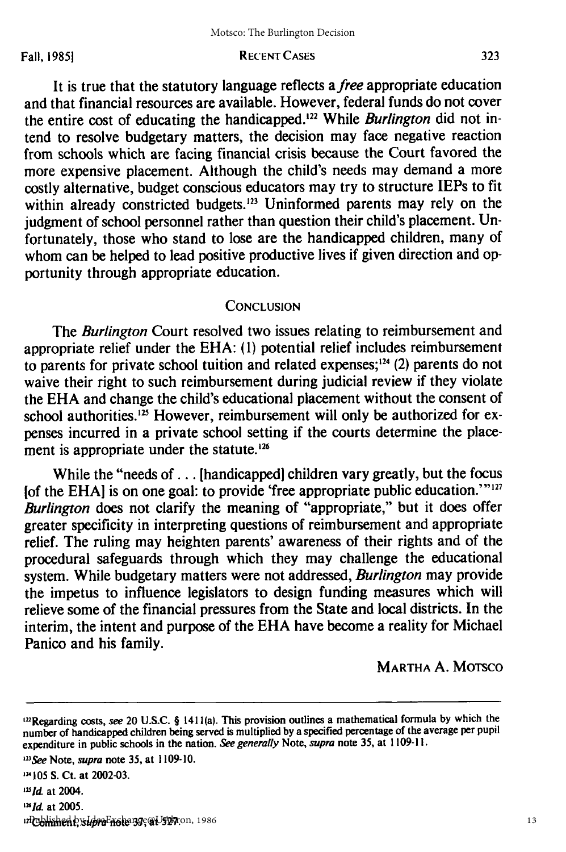#### Fall, **19851 RECENT CASES**

It is true that the statutory language reflects *a free* appropriate education and that financial resources are available. However, federal funds do not cover the entire cost of educating the handicapped.<sup>122</sup> While *Burlington* did not intend to resolve budgetary matters, the decision may face negative reaction from schools which are facing financial crisis because the Court favored the more expensive placement. Although the child's needs may demand a more costly alternative, budget conscious educators may try to structure IEPs to fit within already constricted budgets.<sup>123</sup> Uninformed parents may rely on the judgment of school personnel rather than question their child's placement. Unfortunately, those who stand to lose are the handicapped children, many of whom can be helped to lead positive productive lives if given direction and opportunity through appropriate education.

#### **CONCLUSION**

The *Burlington* Court resolved two issues relating to reimbursement and appropriate relief under the EHA: (1) potential relief includes reimbursement to parents for private school tuition and related expenses; $^{124}$  (2) parents do not waive their right to such reimbursement during judicial review if they violate the EHA and change the child's educational placement without the consent of school authorities.<sup>125</sup> However, reimbursement will only be authorized for expenses incurred in a private school setting if the courts determine the placement is appropriate under the statute. $126$ 

While the "needs of **...** [handicapped] children vary greatly, but the focus [of the EHA] is on one goal: to provide 'free appropriate public education.'"<sup>127</sup> *Burlington* does not clarify the meaning of "appropriate," but it does offer greater specificity in interpreting questions of reimbursement and appropriate relief. The ruling may heighten parents' awareness of their rights and of the procedural safeguards through which they may challenge the educational system. While budgetary matters were not addressed, *Burlington* may provide the impetus to influence legislators to design funding measures which will relieve some of the financial pressures from the State and local districts. In the interim, the intent and purpose of the EHA have become a reality for Michael Panico and his family.

MARTHA A. MoTsco

*'See* Note, *supra* note **35,** at **1109-10.**

**"1105 S.** Ct. at **2002-03.**

*'"Id.* at 2004.

*11Jd.* at **2005.**

1**:Rublished by IdeaExchange@U527**.on, 1986

<sup>&#</sup>x27;1Regarding costs, *see* 20 U.S.C. **§** 1411 (a). This provision outlines a mathematical formula **by** which the number of handicapped children being served is multiplied **by** a specified percentage of the average per pupil expenditure in public schools in the nation. *See generally* Note, *supra* note **35,** at **1109-11.**